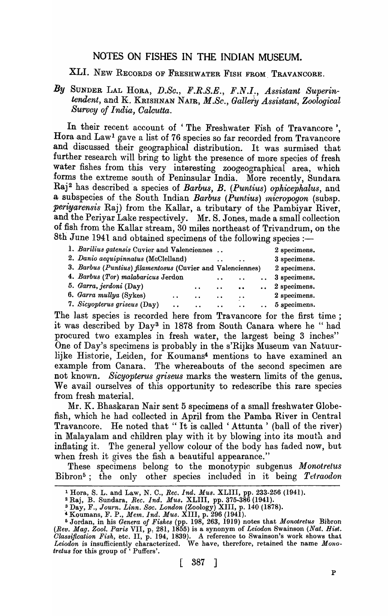## NOTES ON FISHES IN THE INDIAN MUSEUM.

XLI. NEW RECORDS OF FRESHWATER FISH FROM\_ TRAVANCORE.

## By SUNDER LAL HORA, D.Sc., F.R.S.E., F.N.I., Assistant Superin*tendent,* and K. KRISHNAN NAIR, *M.Sc., Gallery Assistant, Zoological Survey of India, Oalcutta.*

In their recent account of 'The Freshwater Fish of Travancore'. Hora and Law<sup>1</sup> gave a list of 76 species so far recorded from Travancore and discussed their geographical distribution. It was surmised that further research will bring to light the presence of more species of fresh water fishes from this very interesting zoogeographical area, which forms the extreme south of Peninsular India. More recently, Sundara Raj<sup>2</sup> has described a species of *Barbus, B. (Puntius) ophicephalus,* and a subspecies of the South Indian *Barbus (Puntius) micropogon* (subsp. *periyarensis* Raj) from the Kallar, a tributary of the Pambiyar River, and the Periyar Lake respectively. Mr. S. Jones, made a small collection of fish from the Kallar stream, 30 miles northeast of Trivandrum, on the 8th June 1941 and obtained specimens of the following species  $:$ 

| 1. Barilius gatensis Cuvier and Valenciennes               | 2 specimens.         |           |                      |                      |                       |
|------------------------------------------------------------|----------------------|-----------|----------------------|----------------------|-----------------------|
| 2. Danio aequipinnatus (McClelland)                        |                      |           |                      | $\ddot{\phantom{a}}$ | 3 specimens.          |
| 3. Barbus (Puntius) filamentosus (Cuvier and Valenciennes) |                      |           |                      |                      | 2 specimens.          |
| 4. Barbus (Tor) malabaricus Jerdon                         |                      |           | $\ddot{\phantom{0}}$ | $\ddot{\phantom{a}}$ | $\ldots$ 3 specimens. |
| 5. Garra, jerdoni (Day)                                    |                      | $\bullet$ | $\ddot{\phantom{a}}$ | $\sim$ 0.0 $^{-1}$   | $\ldots$ 2 specimens. |
| 6. Garra mullya (Sykes)                                    | $\ddot{\phantom{0}}$ | $\bullet$ | $\ddot{\phantom{a}}$ | $\bullet$ $\bullet$  | 2 specimens.          |
| 7. Sicyopterus griseus (Day)                               | $\ddot{\phantom{a}}$ | $\bullet$ | $\bullet$ $\bullet$  | $\ddot{\phantom{a}}$ | $\ldots$ 5 specimens. |
|                                                            |                      |           |                      |                      |                       |

The last species is recorded here from Travancore for the first time; it was described by Day3 in 1878 from South Canara where he " had procured two examples in fresh water, the largest being 3 inches" One of Day's specimens is probably in the s'Rijks Museum van Natuurlijke Historie, Leiden, for Koumans4 mentions to have examined an example from Canara. The whereabouts of the second specimen are not known. *Sicyopterus griseus* marks the western limits of the genus. We avail ourselves of this opportunity to redescribe this rare species from fresh material.

Mr. K. Bhaskaran Nair sent 5 specimens of a small freshwater Globefish, which he had collected in April from the Pamba River in Central Travancore. He noted that "It is called 'Attunta' (ball of the river) in Malayalam and children play with it by blowing into its mouth and inflating it. The general yellow colour of the body has faded now, but when fresh it gives the fish a beautiful appearance."

These specimens belong to the monotypic subgenus *Monotrelus* Bibron<sup>5</sup>; the only other species included in it being *Tetraodon* 

<sup>&</sup>lt;sup>1</sup> Hora, S. L. and Law, N. C., *Rec. Ind. Mus. XLIII*, pp. 233-256 (1941).

 $2$  Raj, B. Sundara, *Rec. Ind. Mus.* XLIII, pp. 375-386 (1941).

<sup>&</sup>lt;sup>3</sup> Day, F., *Journ. Linn. Soc. London* (Zoology) XIII, p. 140 (1878).

<sup>4</sup> Koumans, F. P., *Mem. Ind. Mus.* XIII, p. 296 (1941).

<sup>5</sup> Jordan, in his *Genera of Fishe8* (pp. 198, 263, 1919) notes that *Monotretus* Bibron *(Rev. Mag. Zool. Paris VII, p. 281, 1855)* is a synonym of *Leiodon Swainson <i>(Nat. Hist. Olas8ification Fish,* etc. II, p. 194, 1839). A reference to Swainson's work shows that *Leiodon* is insufficiently characterized. We have, therefore, retained the name *Monotretu8* for this group of ' Puffers'.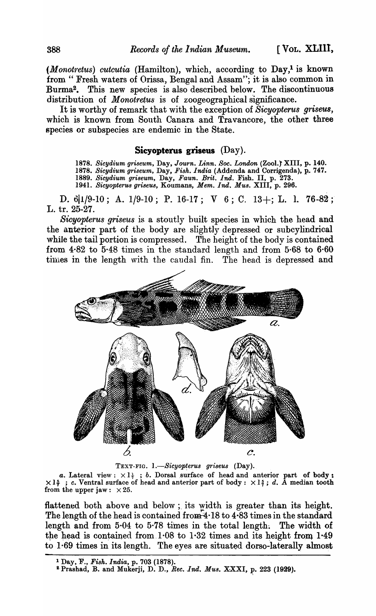*(Monotretus) cutcutia (Hamilton), which, according to Day,<sup>1</sup> is known* from " Fresh waters of Orissa, Bengal and Assam"; it is also common in Burma2• This new species is also described below. The discontinuous distribution of *Monotretus* is of zoogeographical significance.

It is worthy of remark that with the exception of *Sicyopterus griseus,*  which is known from South Oanara and Travancore, the other three species or subspecies are endemic in the State.

## **Sicyopterus griseus** (Day).

*1878. Sicydium griseum,* Day, *Journ. Linn. Soc. London* (Zool.t XIII, p. 140. 1878. Sicydium griseum, Day, Fish. India (Addenda and Corrigenda), p. 747. *1889. Sicydium griseum,* Day, *Faun. Brit. Ind.* Fish. II, p. 273. *1941. Sicyopterus griseus,* Koumans, *Mem. Ind. Mus.* XIII, p. 296.

D.  $6|1/9-10$ ; A.  $1/9-10$ ; P. 16-17; V 6; C. 13+; L. l. 76-82; L. tr. 25-27.

*Sicyopterus griseus* is a stoutly built species in which the head and the anterior part of the body are slightly depressed or subcylindrical while the tail portion is compressed. The height of the body is contained from 4·82 to 5·48 times in the standard length and from 5·68 to 6·60 times in the length with the caudal fin. The head is depressed and



TEXT-FIG. 1.-Sicyopterus griseus (Day).

*a.* Lateral view:  $\times 1$ <sub>7</sub>; *b.* Dorsal surface of head and anterior part of body: *a.* Lateral view:  $\times$  1 $\frac{1}{7}$ ; *c.* Dorsal surface of head and anterior part of body:  $\times$  1 $\frac{5}{7}$ ; *c.* Ventral surface of head and anterior part of body:  $\times$  1 $\frac{5}{7}$ ; *d.* A median tooth from the upper jaw:  $\times 25$ .

flattened both above and below; its width is greater than its height. The length of the head is contained from  $4.18$  to  $4.83$  times in the standard length and from  $5.04$  to  $5.78$  times in the total length. The width of the head is contained from  $1.08$  to  $1.32$  times and its height from  $1.49$ to 1·69 times in its length. The eyes are situated dorso-Iaterally almost

<sup>1</sup>Day, F., *Fish. India,* p. 703 (1878).

<sup>&</sup>lt;sup>2</sup> Prashad, B. and Mukerji, D. D., *Rec. Ind. Mus. XXXI*, p. 223 (1929).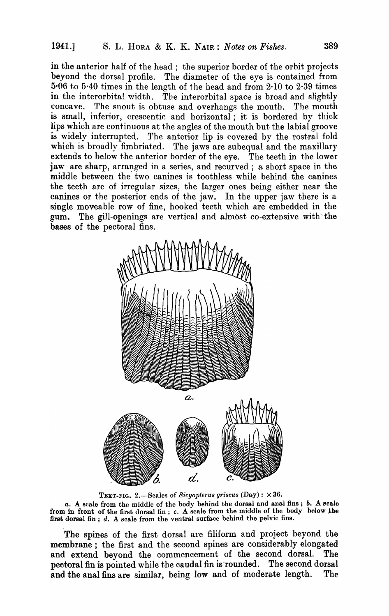in the anterior half of the head; the superior border of the orbit projects beyond the dorsal profile. The diameter of the eye is contained from  $5.06$  to  $5.40$  times in the length of the head and from  $2.10$  to  $2.39$  times in the interorbital width. The interorbital space is broad and slightly concave. The snout is obtuse and overhangs the mouth. The mouth is small, inferior, crescentic and horizontal; it is bordered by thick lips which are continuous at the angles of the mouth but the labial groove is widely interrupted. The anterior lip is covered by the rostral fold which is broadly fimbriated. The jaws are subequal and the maxillary extends to below the anterior border of the eye. The teeth in the lower jaw are sharp, arranged in a series, and recurved; a short space in the middle between the two canines is toothless while behind the canines the teeth are of irregular sizes, the larger ones being either near the canines or the posterior ends of the jaw. In the upper jaw there is a single moveable row of fine, hooked teeth which are embedded in the gum. The gill-openings are vertical and almost co-extensive with the bases of the pectoral fins.



TEXT-FIG. 2.-Scales of *Sicyopterus griseus* (Day): X 36.

a. A scale from the middle of the body behind the dorsal and anal fins; *b.* A scale from in front of the first dorsal fin; *c.* A scale from the middle of the body below the first dorsal fin; d. A scale from the ventral surface behind the pelvic fins.

The spines of the first dorsal are filiform and project beyond tbe membrane; the first and the second spines are considerably elongated and extend beyond the commencement of the second dorsal. The pectoral fin is pointed while the caudal fin is rounded. The second dorsal and the anal fins are similar, being low and of moderate length. The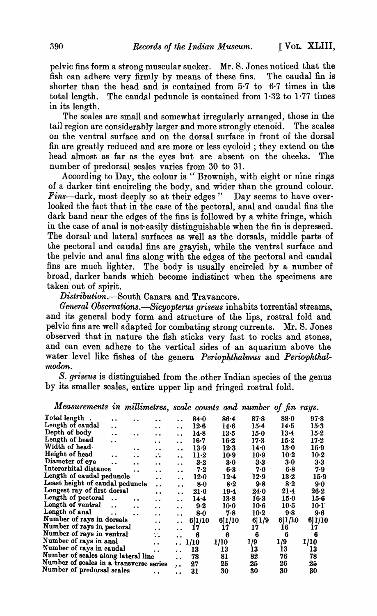pelvic fins form a strong muscular sucker. Mr. S. Jones noticed that the fish can adhere very firmly by means of these fins. The caudal fin is shorter than the head and is contained from 5·7 to 6·7 times in the total length. The caudal peduncle is contained from  $1.32$  to  $1.77$  times in its length.

The scales are small and somewhat irregularly arranged, those in the tail region are considerably larger and more strongly ctenoid. The scales on the ventral surface and on the dorsal surface in front of the dorsal fin are greatly reduced and are more or less cycloid; they extend on the head almost as far as the eyes but are absent on the cheeks. The number of predorsal scales varies from 30 to 31.

According to Day, the colour is "Brownish, with eight or nine rings of a darker tint encircling the body, and wider than the ground colour. Fins-dark, most deeply so at their edges" Day seems to have overlooked the fact that in the case of the pectoral, anal and caudal fins the dark band near the edges of the fins is followed by a white fringe, which in the case of anal is not-easily distinguishable when the fin is depressed. The dorsal and lateral surfaces as well as the dorsals, middle parts of the pectoral and caudal fins are grayish, while the ventral surface and the pelvic and anal fins along with the edges of the pectoral and caudal fins are much lighter. The body is usually encircled by a number of broad, darker bands which become indistinct when the specimens are taken out of spirit.

*Distribution.-South* Canara and Travancore.

*General Observations.-Sicyopterus griseus* inhabits torrential streams, and its general body form and structure of the lips, rostral fold and pelvic fins are well adapted for combating strong currents. Mr. S. Jones observed that in nature the fish sticks very fast to rocks and stones, and can even adhere to the vertical sides of an aquarium above the water level like fishes of the genera *Periophthalmus* and *Periophthal*-*1nodon. ,* 

*S. griseus* is distinguished from the other Indian species of the genus by its smaller scales, entire upper lip and fringed rostral fold.

*Measurements in millimetres, scale counts and number of fin rays.* 

| Total length                            | . .                  | . .                  |                              |                      | $84 - 0$ | $86 - 4$ | 87.8   | 88.0     | $97 - 8$ |
|-----------------------------------------|----------------------|----------------------|------------------------------|----------------------|----------|----------|--------|----------|----------|
| Length of caudal                        | $\ddot{\phantom{a}}$ |                      | $\ddot{\phantom{a}}$         | $\ddot{\phantom{a}}$ | $12-6$   | 14.6     | $15-4$ | 14.5     | $15-3$   |
| Depth of body                           | $\ddot{\bullet}$     | $\ddot{\phantom{a}}$ | $\ddot{\phantom{a}}$         | $\ddot{\phantom{a}}$ | $14 - 8$ | $13-5$   | $15-0$ | 13.4     | $15-2$   |
| Length of head                          | $\ddot{\phantom{a}}$ |                      | $\ddot{\phantom{a}}$         | $\ddot{\phantom{a}}$ | $16 - 7$ | $16-2$   | 17.3   | 15·2     | $17-2$   |
| Width of head                           |                      | . .                  | $\bullet$                    | $\ddot{\phantom{a}}$ | 13.9     | $12-3$   | 14·0   | 13.0     | $15-9$   |
| Height of head                          | $\ddot{\phantom{a}}$ | $\bullet$            | ∴.                           | $\ddot{\phantom{a}}$ | $11-2$   | $10-9$   | $10-9$ | $10-2$   | $10-2$   |
| Diameter of eye                         |                      | . .                  | $\ddot{\phantom{a}}$         | $\ddot{\phantom{0}}$ | 3·2      | 3.0      | 3.3    | 3.0      | $3 - 3$  |
| Interorbital distance                   |                      | . .                  | $\ddot{\phantom{1}}$         | $\bullet$            | 7.2      | 6.3      | 7.0    | 6.8      | 7.9      |
| Length of caudal peduncle               |                      |                      | $\ddot{\bullet}$             | $\ddot{\phantom{a}}$ | $12-0$   | $12-4$   | 12.9   | $13-2$   | $15-9$   |
| Least height of caudal peduncle         |                      |                      | $\ddot{\phantom{0}}$         | $\ddot{\phantom{a}}$ | $8 - 0$  | $8-2$    | 9.8    | 8.2      | $9-0$    |
| Longest ray of first dorsal             |                      |                      | $\ddot{\phantom{a}}$         | $\ddot{\phantom{a}}$ | $21-0$   | $19 - 4$ | 24.0   | $21 - 4$ | $26-2$   |
| Length of pectoral                      |                      | $\ddot{\phantom{a}}$ | $\ddot{\phantom{a}}$         | . .                  | 14.4     | 13.8     | $16-3$ | $15-0$   | $15-6$   |
| Length of ventral                       | $\ddot{\phantom{a}}$ | $\ddot{\phantom{a}}$ | $\ddot{\phantom{a}}$         | . .                  | 9.2      | $10 - 0$ | $10-6$ | $10-5$   | 10·1     |
| Length of anal                          | $\ddot{\phantom{a}}$ | $\ddot{\phantom{a}}$ | $\ddot{\phantom{a}}$         | . .                  | $8-0$    | 7.8      | $10-2$ | 9.8      | $9-6$    |
| Number of rays in dorsals               |                      |                      | . .                          | . .                  | 6 1/10   | 6 1/10   | 6 1/9  | 6 1/D    | 6 1/10   |
| Number of rays in pectoral              |                      |                      | . .                          | $\ddot{\phantom{a}}$ | 17       | 17       | 17     | 16       | 17       |
| Number of rays in ventral               |                      |                      | e al<br>$\ddot{\phantom{a}}$ | $\ddot{\phantom{a}}$ | 6        | 6        | 6      | 6        | 6        |
| Number of rays in anal                  |                      |                      | $\ddot{\phantom{a}}$         | $\ddot{\phantom{a}}$ | 1/10     | 1/10     | 1/9    | 1/9      | 1/10     |
| Number of rays in caudal                |                      |                      | . .                          | $\ddot{\phantom{a}}$ | 13       | 13       | 13     | 13       | 13       |
| Number of scales along lateral line     |                      |                      |                              | $\ddot{\phantom{a}}$ | 78       | 81       | 82     | 76       | 78       |
| Number of scales in a transverse series |                      |                      |                              | $\ddot{\bullet}$     | 27       | 25       | 25     | 26       | 25       |
| Number of predorsal scales              |                      |                      |                              | $\ddot{\phantom{a}}$ | 31       | 30       | 30     | 30       | 30       |
|                                         |                      |                      |                              |                      |          |          |        |          |          |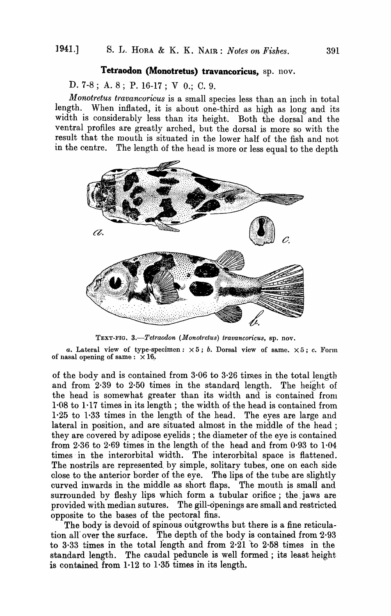## Tetraodon (Monotretus) travancoricus, sp. nov.

D. 7-8; A. 8; P. 16-17; V 0.; C. 9.

*Monotretus travancoricus* is a small species less than an inch in total length. When inflated, it is about one-third as high as long and its width is considerably less than its height. Both the dorsal and the ventral profiles are greatly arched, but the dorsal is more so with the result that the mouth is situated in the lower half of the fish and not in the centre. The length 6f the head is more or less equal to the depth



TEXT-FIG. 3.-Tetraodon (Monotretus) travancoricus, sp. nov.

*a.* Lateral view of type-specimen:  $\times 5$ ; *b.* Dorsal view of same.  $\times 5$ ; *c.* Form of nasal opening of same:  $\times 16$ .

of the body and is contained from 3·06 to 3·26 times in the total length and from· 2·39 to 2·50 times in the standard length. The height of the head is somewhat greater than its width and is contained from 1·08 to 1-17 times in its length; the width of: the head is contained from 1-25 to 1·33 times in the length of the head. The eyes are large and lateral in position, and are situated almost in the middle of the head: they are covered by adipose eyelids; the diameter of the eye is contained from 2·36 to 2-69 times in the length of the head and from 0·93 to 1-04 times in the interorbital width. The interorbital space is flattened. The nostrils are represented. by simple, solitary tubes, one on each side close to the anterior border of the eye. The lips of the tube are slightly curved inwards in the middle as short flaps. The mouth is small and surrounded by fleshy lips which form a tubular orifice; the jaws are provided with median sutures. The gill-openings are small and restricted opposite to the bases of the pectoral fins.

The body is devoid of spinous outgrowths but there is a fine reticulation all over the surface. The depth of the body is contained from  $2.93$ to 3·33 times in the total length and from 2·21 to 2·58 times in the standard length. The caudal peduncle is well formed; its least height. is contained from 1-12 to 1·35 times in its length.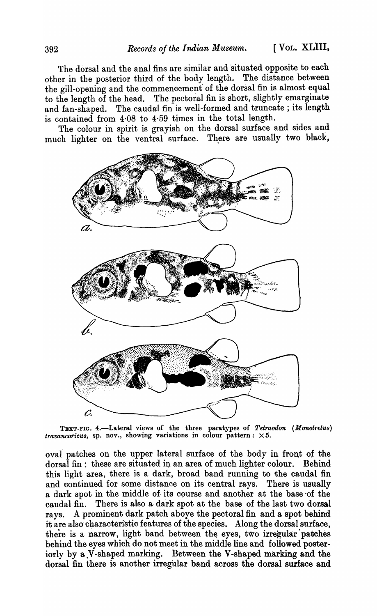The dorsal and the anal fins are similar and 'situated opposite to each other in the posterior third of the body length. The distance between the gill-opening and the commencement' of the dorsal fin is almost equal to the length of the head. The pectoral fin is short, slightly emarginate and fan-shaped. The caudal fin is well-formed and truncate; its length is contained from 4·08 to 4·59 times in the total length.

The colour in spirit is grayish on the dorsal surface and sides and much lighter on the ventral surface. There are usually two black,



TEXT-FIG. 4.-Lateral views of the three paratypes of *Tetraodon (Monotretus) travancoricus*, sp. nov., showing variations in colour pattern:  $\times 5$ .

oval patches on the upper lateral surface of the body in front of the dorsal fin; these are situated in an area of much lighter colour. Behind this light area, there is a dark, broad band running to the caudal fin and continued for some distance on its central rays. There is usually a dark spot in the middle of its course and another at the base of the caudal fin. There is also a· dark spot at the base of the last two dorsal rays. A prominent dark patch aboye the pectoral fin and a spot behind it are also characteristic features of the species. Along the dorsal surface, there is a narrow, light band between the eyes, two irregular patches behind the eyes which do not meet in the middle line and followed posteriorly by a V-shaped marking. Between the V-shaped marking and the dorsal fin there is another irregular band across the dorsal surface and